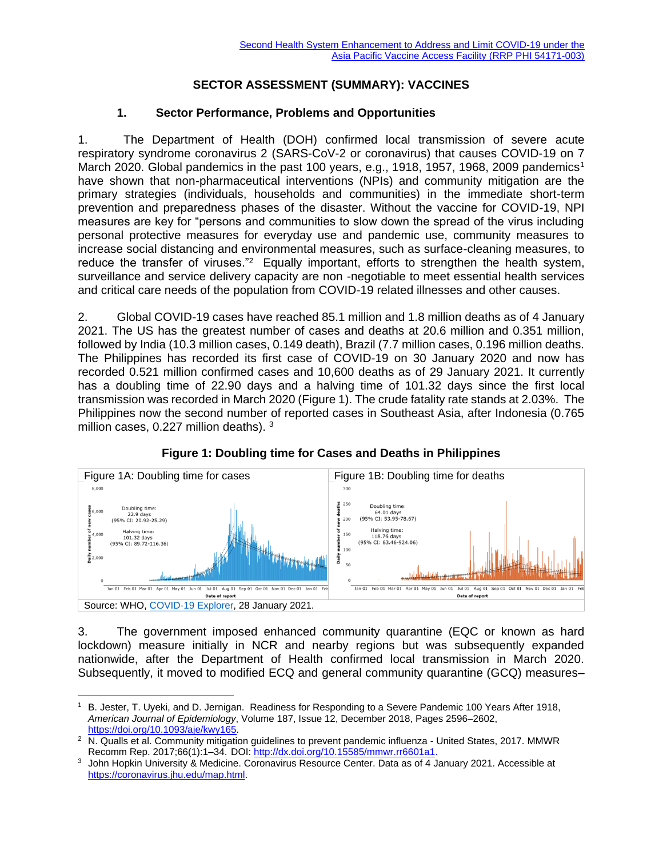### **SECTOR ASSESSMENT (SUMMARY): VACCINES**

#### **1. Sector Performance, Problems and Opportunities**

1. The Department of Health (DOH) confirmed local transmission of severe acute respiratory syndrome coronavirus 2 (SARS-CoV-2 or coronavirus) that causes COVID-19 on 7 March 2020. Global pandemics in the past 100 years, e.g., 1918, 1957, 1968, 2009 pandemics<sup>1</sup> have shown that non-pharmaceutical interventions (NPIs) and community mitigation are the primary strategies (individuals, households and communities) in the immediate short-term prevention and preparedness phases of the disaster. Without the vaccine for COVID-19, NPI measures are key for "persons and communities to slow down the spread of the virus including personal protective measures for everyday use and pandemic use, community measures to increase social distancing and environmental measures, such as surface-cleaning measures, to reduce the transfer of viruses."<sup>2</sup> Equally important, efforts to strengthen the health system, surveillance and service delivery capacity are non -negotiable to meet essential health services and critical care needs of the population from COVID-19 related illnesses and other causes.

2. Global COVID-19 cases have reached 85.1 million and 1.8 million deaths as of 4 January 2021. The US has the greatest number of cases and deaths at 20.6 million and 0.351 million, followed by India (10.3 million cases, 0.149 death), Brazil (7.7 million cases, 0.196 million deaths. The Philippines has recorded its first case of COVID-19 on 30 January 2020 and now has recorded 0.521 million confirmed cases and 10,600 deaths as of 29 January 2021. It currently has a doubling time of 22.90 days and a halving time of 101.32 days since the first local transmission was recorded in March 2020 (Figure 1). The crude fatality rate stands at 2.03%. The Philippines now the second number of reported cases in Southeast Asia, after Indonesia (0.765 million cases, 0.227 million deaths). 3



## **Figure 1: Doubling time for Cases and Deaths in Philippines**

3. The government imposed enhanced community quarantine (EQC or known as hard lockdown) measure initially in NCR and nearby regions but was subsequently expanded nationwide, after the Department of Health confirmed local transmission in March 2020. Subsequently, it moved to modified ECQ and general community quarantine (GCQ) measures–

<sup>1</sup> B. Jester, T. Uyeki, and D. Jernigan. Readiness for Responding to a Severe Pandemic 100 Years After 1918, *American Journal of Epidemiology*, Volume 187, Issue 12, December 2018, Pages 2596–2602, [https://doi.org/10.1093/aje/kwy165.](https://doi.org/10.1093/aje/kwy165) 

<sup>&</sup>lt;sup>2</sup> N. Qualls et al. Community mitigation guidelines to prevent pandemic influenza - United States, 2017. MMWR Recomm Rep. 2017;66(1):1–34. DOI: [http://dx.doi.org/10.15585/mmwr.rr6601a1.](http://dx.doi.org/10.15585/mmwr.rr6601a1)

<sup>3</sup> John Hopkin University & Medicine. Coronavirus Resource Center. Data as of 4 January 2021. Accessible at [https://coronavirus.jhu.edu/map.html.](https://coronavirus.jhu.edu/map.html)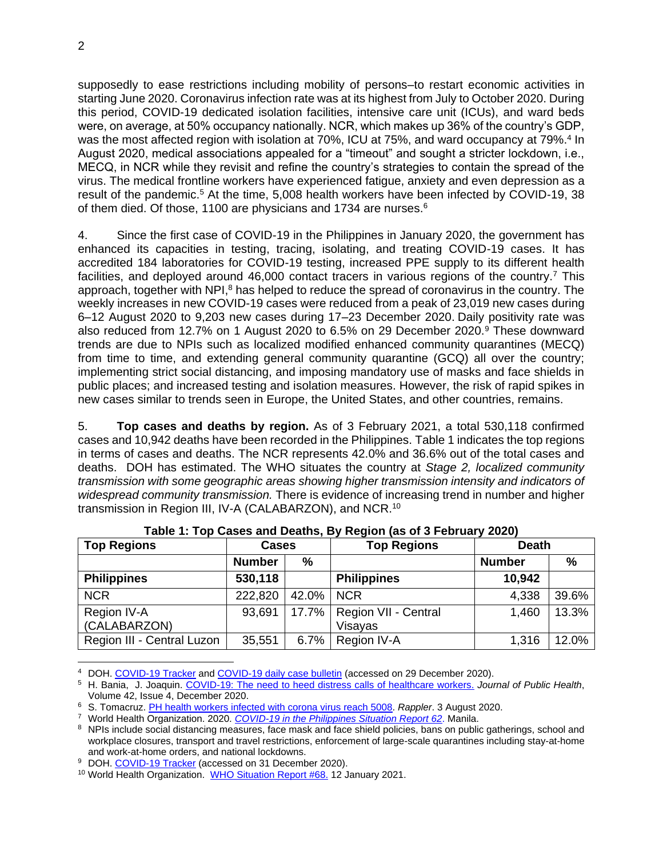supposedly to ease restrictions including mobility of persons–to restart economic activities in starting June 2020. Coronavirus infection rate was at its highest from July to October 2020. During this period, COVID-19 dedicated isolation facilities, intensive care unit (ICUs), and ward beds were, on average, at 50% occupancy nationally. NCR, which makes up 36% of the country's GDP, was the most affected region with isolation at 70%, ICU at 75%, and ward occupancy at 79%.<sup>4</sup> In August 2020, medical associations appealed for a "timeout" and sought a stricter lockdown, i.e., MECQ, in NCR while they revisit and refine the country's strategies to contain the spread of the virus. The medical frontline workers have experienced fatigue, anxiety and even depression as a result of the pandemic.<sup>5</sup> At the time, 5,008 health workers have been infected by COVID-19, 38 of them died. Of those, 1100 are physicians and 1734 are nurses.<sup>6</sup>

4. Since the first case of COVID-19 in the Philippines in January 2020, the government has enhanced its capacities in testing, tracing, isolating, and treating COVID-19 cases. It has accredited 184 laboratories for COVID-19 testing, increased PPE supply to its different health facilities, and deployed around 46,000 contact tracers in various regions of the country.<sup>7</sup> This approach, together with NPI,<sup>8</sup> has helped to reduce the spread of coronavirus in the country. The weekly increases in new COVID-19 cases were reduced from a peak of 23,019 new cases during 6–12 August 2020 to 9,203 new cases during 17–23 December 2020. Daily positivity rate was also reduced from 12.7% on 1 August 2020 to 6.5% on 29 December 2020.<sup>9</sup> These downward trends are due to NPIs such as localized modified enhanced community quarantines (MECQ) from time to time, and extending general community quarantine (GCQ) all over the country; implementing strict social distancing, and imposing mandatory use of masks and face shields in public places; and increased testing and isolation measures. However, the risk of rapid spikes in new cases similar to trends seen in Europe, the United States, and other countries, remains.

5. **Top cases and deaths by region.** As of 3 February 2021, a total 530,118 confirmed cases and 10,942 deaths have been recorded in the Philippines. Table 1 indicates the top regions in terms of cases and deaths. The NCR represents 42.0% and 36.6% out of the total cases and deaths. DOH has estimated. The WHO situates the country at *Stage 2, localized community transmission with some geographic areas showing higher transmission intensity and indicators of widespread community transmission.* There is evidence of increasing trend in number and higher transmission in Region III, IV-A (CALABARZON), and NCR.<sup>10</sup>

| <b>Top Regions</b>          | <b>Cases</b>  |       | <b>Top Regions</b>              | <b>Death</b>  |       |
|-----------------------------|---------------|-------|---------------------------------|---------------|-------|
|                             | <b>Number</b> | %     |                                 | <b>Number</b> | $\%$  |
| <b>Philippines</b>          | 530,118       |       | <b>Philippines</b>              | 10,942        |       |
| <b>NCR</b>                  | 222,820       | 42.0% | <b>NCR</b>                      | 4,338         | 39.6% |
| Region IV-A<br>(CALABARZON) | 93,691        | 17.7% | Region VII - Central<br>Visayas | 1,460         | 13.3% |
| Region III - Central Luzon  | 35,551        | 6.7%  | Region IV-A                     | 1,316         | 12.0% |

**Table 1: Top Cases and Deaths, By Region (as of 3 February 2020)**

<sup>4</sup> DOH. [COVID-19 Tracker](https://doh.gov.ph/covid19tracker) and [COVID-19 daily case bulletin](https://doh.gov.ph/bulletin) (accessed on 29 December 2020).

<sup>5</sup> H. Bania, J. Joaquin. [COVID-19: The need to heed distress calls of healthcare workers.](https://doi.org/10.1093/pubmed/fdaa145) *Journal of Public Health*, Volume 42, Issue 4, December 2020.

<sup>6</sup> S. Tomacruz. [PH health workers infected with corona virus reach 5008.](https://www.rappler.com/nation/health-workers-coronavirus-cases-philippines-august-3-2020) *Rappler*. 3 August 2020.

<sup>7</sup> World Health Organization. 2020. *[COVID-19 in the Philippines Situation Report 62](https://www.who.int/philippines/internal-publications-detail/covid-19-in-the-philippines-situation-report-62)*. Manila.

<sup>&</sup>lt;sup>8</sup> NPIs include social distancing measures, face mask and face shield policies, bans on public gatherings, school and workplace closures, transport and travel restrictions, enforcement of large-scale quarantines including stay-at-home and work-at-home orders, and national lockdowns.

<sup>&</sup>lt;sup>9</sup> DOH. [COVID-19 Tracker](https://doh.gov.ph/covid19tracker) (accessed on 31 December 2020).

<sup>&</sup>lt;sup>10</sup> World Health Organization. [WHO Situation Report #68.](https://www.who.int/philippines/internal-publications-detail/covid-19-in-the-philippines-situation-report-68) 12 January 2021.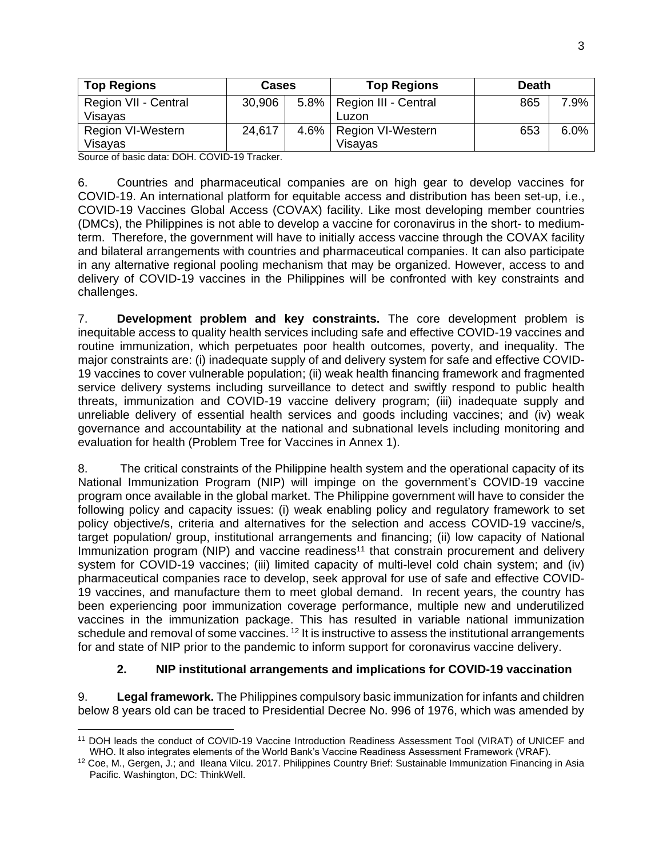| <b>Top Regions</b>       | Cases  |  | <b>Top Regions</b>          | <b>Death</b> |      |
|--------------------------|--------|--|-----------------------------|--------------|------|
| Region VII - Central     | 30,906 |  | 5.8%   Region III - Central | 865          | 7.9% |
| Visayas                  |        |  | Luzon                       |              |      |
| <b>Region VI-Western</b> | 24,617 |  | 4.6%   Region VI-Western    | 653          | 6.0% |
| Visayas                  |        |  | Visavas                     |              |      |

Source of basic data: DOH. COVID-19 Tracker.

6. Countries and pharmaceutical companies are on high gear to develop vaccines for COVID-19. An international platform for equitable access and distribution has been set-up, i.e., COVID-19 Vaccines Global Access (COVAX) facility. Like most developing member countries (DMCs), the Philippines is not able to develop a vaccine for coronavirus in the short- to mediumterm. Therefore, the government will have to initially access vaccine through the COVAX facility and bilateral arrangements with countries and pharmaceutical companies. It can also participate in any alternative regional pooling mechanism that may be organized. However, access to and delivery of COVID-19 vaccines in the Philippines will be confronted with key constraints and challenges.

7. **Development problem and key constraints.** The core development problem is inequitable access to quality health services including safe and effective COVID-19 vaccines and routine immunization, which perpetuates poor health outcomes, poverty, and inequality. The major constraints are: (i) inadequate supply of and delivery system for safe and effective COVID-19 vaccines to cover vulnerable population; (ii) weak health financing framework and fragmented service delivery systems including surveillance to detect and swiftly respond to public health threats, immunization and COVID-19 vaccine delivery program; (iii) inadequate supply and unreliable delivery of essential health services and goods including vaccines; and (iv) weak governance and accountability at the national and subnational levels including monitoring and evaluation for health (Problem Tree for Vaccines in Annex 1).

8. The critical constraints of the Philippine health system and the operational capacity of its National Immunization Program (NIP) will impinge on the government's COVID-19 vaccine program once available in the global market. The Philippine government will have to consider the following policy and capacity issues: (i) weak enabling policy and regulatory framework to set policy objective/s, criteria and alternatives for the selection and access COVID-19 vaccine/s, target population/ group, institutional arrangements and financing; (ii) low capacity of National Immunization program (NIP) and vaccine readiness<sup>11</sup> that constrain procurement and delivery system for COVID-19 vaccines; (iii) limited capacity of multi-level cold chain system; and (iv) pharmaceutical companies race to develop, seek approval for use of safe and effective COVID-19 vaccines, and manufacture them to meet global demand. In recent years, the country has been experiencing poor immunization coverage performance, multiple new and underutilized vaccines in the immunization package. This has resulted in variable national immunization schedule and removal of some vaccines. <sup>12</sup> It is instructive to assess the institutional arrangements for and state of NIP prior to the pandemic to inform support for coronavirus vaccine delivery.

## **2. NIP institutional arrangements and implications for COVID-19 vaccination**

9. **Legal framework.** The Philippines compulsory basic immunization for infants and children below 8 years old can be traced to Presidential Decree No. 996 of 1976, which was amended by

<sup>11</sup> DOH leads the conduct of COVID-19 Vaccine Introduction Readiness Assessment Tool (VIRAT) of UNICEF and WHO. It also integrates elements of the World Bank's Vaccine Readiness Assessment Framework (VRAF).

<sup>12</sup> Coe, M., Gergen, J.; and Ileana Vilcu. 2017. Philippines Country Brief: Sustainable Immunization Financing in Asia Pacific. Washington, DC: ThinkWell.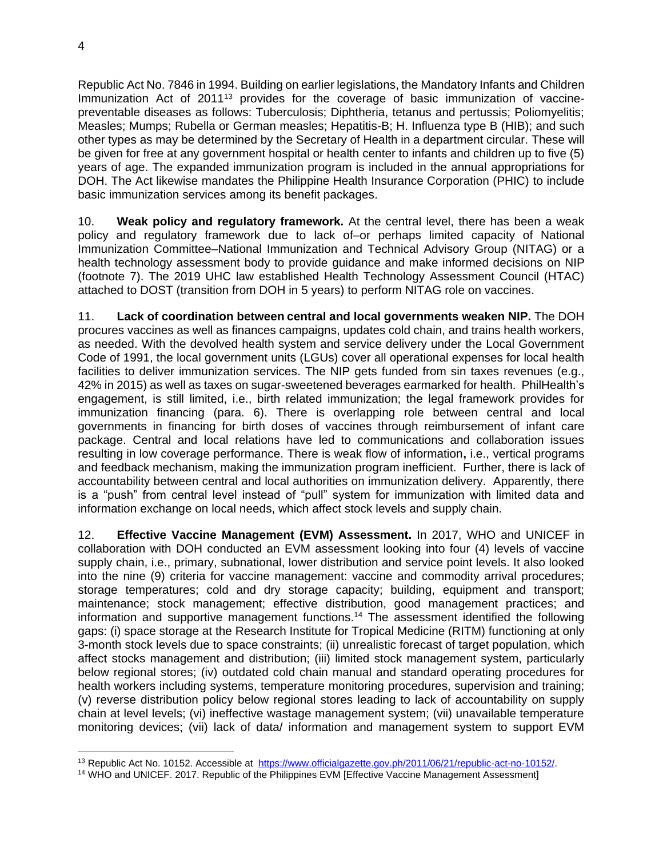Republic Act No. 7846 in 1994. Building on earlier legislations, the Mandatory Infants and Children Immunization Act of 2011<sup>13</sup> provides for the coverage of basic immunization of vaccinepreventable diseases as follows: Tuberculosis; Diphtheria, tetanus and pertussis; Poliomyelitis; Measles; Mumps; Rubella or German measles; Hepatitis-B; H. Influenza type B (HIB); and such other types as may be determined by the Secretary of Health in a department circular. These will be given for free at any government hospital or health center to infants and children up to five (5) years of age. The expanded immunization program is included in the annual appropriations for DOH. The Act likewise mandates the Philippine Health Insurance Corporation (PHIC) to include basic immunization services among its benefit packages.

10. **Weak policy and regulatory framework.** At the central level, there has been a weak policy and regulatory framework due to lack of–or perhaps limited capacity of National Immunization Committee–National Immunization and Technical Advisory Group (NITAG) or a health technology assessment body to provide guidance and make informed decisions on NIP (footnote 7). The 2019 UHC law established Health Technology Assessment Council (HTAC) attached to DOST (transition from DOH in 5 years) to perform NITAG role on vaccines.

11. **Lack of coordination between central and local governments weaken NIP.** The DOH procures vaccines as well as finances campaigns, updates cold chain, and trains health workers, as needed. With the devolved health system and service delivery under the Local Government Code of 1991, the local government units (LGUs) cover all operational expenses for local health facilities to deliver immunization services. The NIP gets funded from sin taxes revenues (e.g., 42% in 2015) as well as taxes on sugar-sweetened beverages earmarked for health. PhilHealth's engagement, is still limited, i.e., birth related immunization; the legal framework provides for immunization financing (para. 6). There is overlapping role between central and local governments in financing for birth doses of vaccines through reimbursement of infant care package. Central and local relations have led to communications and collaboration issues resulting in low coverage performance. There is weak flow of information**,** i.e., vertical programs and feedback mechanism, making the immunization program inefficient. Further, there is lack of accountability between central and local authorities on immunization delivery. Apparently, there is a "push" from central level instead of "pull" system for immunization with limited data and information exchange on local needs, which affect stock levels and supply chain.

12. **Effective Vaccine Management (EVM) Assessment.** In 2017, WHO and UNICEF in collaboration with DOH conducted an EVM assessment looking into four (4) levels of vaccine supply chain, i.e., primary, subnational, lower distribution and service point levels. It also looked into the nine (9) criteria for vaccine management: vaccine and commodity arrival procedures; storage temperatures; cold and dry storage capacity; building, equipment and transport; maintenance; stock management; effective distribution, good management practices; and information and supportive management functions.<sup>14</sup> The assessment identified the following gaps: (i) space storage at the Research Institute for Tropical Medicine (RITM) functioning at only 3-month stock levels due to space constraints; (ii) unrealistic forecast of target population, which affect stocks management and distribution; (iii) limited stock management system, particularly below regional stores; (iv) outdated cold chain manual and standard operating procedures for health workers including systems, temperature monitoring procedures, supervision and training; (v) reverse distribution policy below regional stores leading to lack of accountability on supply chain at level levels; (vi) ineffective wastage management system; (vii) unavailable temperature monitoring devices; (vii) lack of data/ information and management system to support EVM

<sup>13</sup> Republic Act No. 10152. Accessible at [https://www.officialgazette.gov.ph/2011/06/21/republic-act-no-10152/.](https://www.officialgazette.gov.ph/2011/06/21/republic-act-no-10152/) 

<sup>14</sup> WHO and UNICEF. 2017. Republic of the Philippines EVM [Effective Vaccine Management Assessment]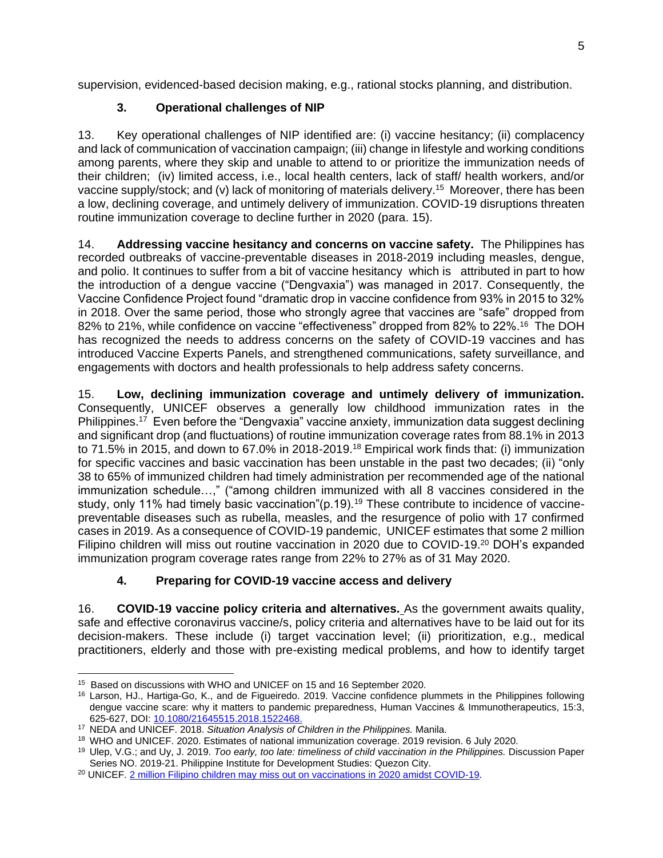supervision, evidenced-based decision making, e.g., rational stocks planning, and distribution.

## **3. Operational challenges of NIP**

13. Key operational challenges of NIP identified are: (i) vaccine hesitancy; (ii) complacency and lack of communication of vaccination campaign; (iii) change in lifestyle and working conditions among parents, where they skip and unable to attend to or prioritize the immunization needs of their children; (iv) limited access, i.e., local health centers, lack of staff/ health workers, and/or vaccine supply/stock; and (v) lack of monitoring of materials delivery.<sup>15</sup> Moreover, there has been a low, declining coverage, and untimely delivery of immunization. COVID-19 disruptions threaten routine immunization coverage to decline further in 2020 (para. 15).

14. **Addressing vaccine hesitancy and concerns on vaccine safety.** The Philippines has recorded outbreaks of vaccine-preventable diseases in 2018-2019 including measles, dengue, and polio. It continues to suffer from a bit of vaccine hesitancy which is attributed in part to how the introduction of a dengue vaccine ("Dengvaxia") was managed in 2017. Consequently, the Vaccine Confidence Project found "dramatic drop in vaccine confidence from 93% in 2015 to 32% in 2018. Over the same period, those who strongly agree that vaccines are "safe" dropped from 82% to 21%, while confidence on vaccine "effectiveness" dropped from 82% to 22%.<sup>16</sup> The DOH has recognized the needs to address concerns on the safety of COVID-19 vaccines and has introduced Vaccine Experts Panels, and strengthened communications, safety surveillance, and engagements with doctors and health professionals to help address safety concerns.

15. **Low, declining immunization coverage and untimely delivery of immunization.** Consequently, UNICEF observes a generally low childhood immunization rates in the Philippines.<sup>17</sup> Even before the "Dengvaxia" vaccine anxiety, immunization data suggest declining and significant drop (and fluctuations) of routine immunization coverage rates from 88.1% in 2013 to 71.5% in 2015, and down to 67.0% in 2018-2019.<sup>18</sup> Empirical work finds that: (i) immunization for specific vaccines and basic vaccination has been unstable in the past two decades; (ii) "only 38 to 65% of immunized children had timely administration per recommended age of the national immunization schedule…," ("among children immunized with all 8 vaccines considered in the study, only 11% had timely basic vaccination"(p.19).<sup>19</sup> These contribute to incidence of vaccinepreventable diseases such as rubella, measles, and the resurgence of polio with 17 confirmed cases in 2019. As a consequence of COVID-19 pandemic, UNICEF estimates that some 2 million Filipino children will miss out routine vaccination in 2020 due to COVID-19.<sup>20</sup> DOH's expanded immunization program coverage rates range from 22% to 27% as of 31 May 2020.

# **4. Preparing for COVID-19 vaccine access and delivery**

16. **COVID-19 vaccine policy criteria and alternatives.** As the government awaits quality, safe and effective coronavirus vaccine/s, policy criteria and alternatives have to be laid out for its decision-makers. These include (i) target vaccination level; (ii) prioritization, e.g., medical practitioners, elderly and those with pre-existing medical problems, and how to identify target

<sup>&</sup>lt;sup>15</sup> Based on discussions with WHO and UNICEF on 15 and 16 September 2020.

<sup>16</sup> Larson, HJ., Hartiga-Go, K., and de Figueiredo. 2019. Vaccine confidence plummets in the Philippines following dengue vaccine scare: why it matters to pandemic preparedness, Human Vaccines & Immunotherapeutics, 15:3, 625-627, DOI: [10.1080/21645515.2018.1522468.](https://doi.org/10.1080/21645515.2018.1522468)

<sup>17</sup> NEDA and UNICEF. 2018. *Situation Analysis of Children in the Philippines.* Manila.

<sup>18</sup> WHO and UNICEF. 2020. Estimates of national immunization coverage. 2019 revision. 6 July 2020.

<sup>19</sup> Ulep, V.G.; and Uy, J. 2019. *Too early, too late: timeliness of child vaccination in the Philippines.* Discussion Paper Series NO. 2019-21. Philippine Institute for Development Studies: Quezon City.

<sup>&</sup>lt;sup>20</sup> UNICEF[. 2 million Filipino children may miss out on vaccinations in 2020 amidst COVID-19.](https://www.unicef.org/philippines/press-releases/2-million-filipino-children-may-miss-out-vaccinations-2020-amidst-covid-19)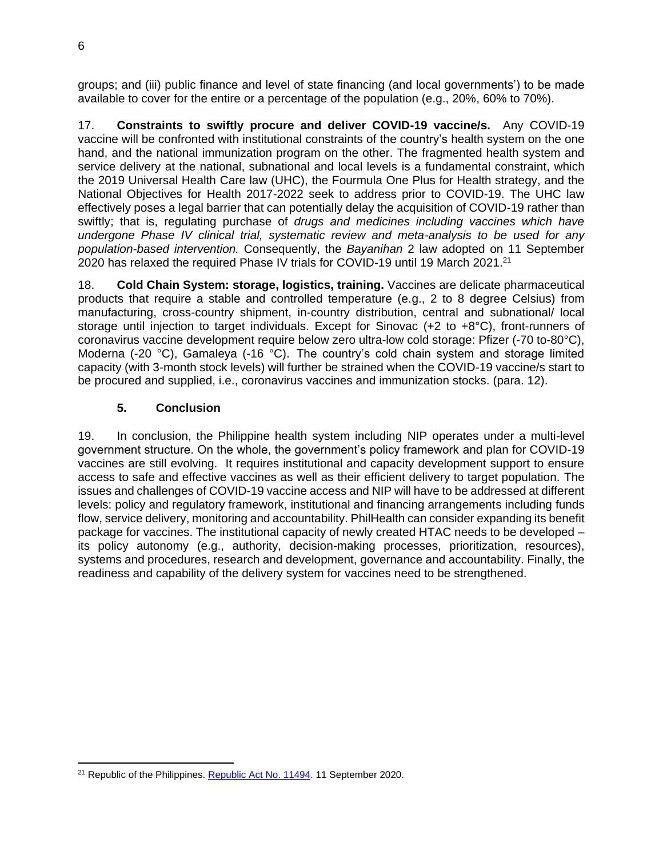groups; and (iii) public finance and level of state financing (and local governments') to be made available to cover for the entire or a percentage of the population (e.g., 20%, 60% to 70%).

17. **Constraints to swiftly procure and deliver COVID-19 vaccine/s.** Any COVID-19 vaccine will be confronted with institutional constraints of the country's health system on the one hand, and the national immunization program on the other. The fragmented health system and service delivery at the national, subnational and local levels is a fundamental constraint, which the 2019 Universal Health Care law (UHC), the Fourmula One Plus for Health strategy, and the National Objectives for Health 2017-2022 seek to address prior to COVID-19. The UHC law effectively poses a legal barrier that can potentially delay the acquisition of COVID-19 rather than swiftly; that is, regulating purchase of *drugs and medicines including vaccines which have undergone Phase IV clinical trial, systematic review and meta-analysis to be used for any population-based intervention.* Consequently, the *Bayanihan* 2 law adopted on 11 September 2020 has relaxed the required Phase IV trials for COVID-19 until 19 March 2021.<sup>21</sup>

18. **Cold Chain System: storage, logistics, training.** Vaccines are delicate pharmaceutical products that require a stable and controlled temperature (e.g., 2 to 8 degree Celsius) from manufacturing, cross-country shipment, in-country distribution, central and subnational/ local storage until injection to target individuals. Except for Sinovac (+2 to +8°C), front-runners of coronavirus vaccine development require below zero ultra-low cold storage: Pfizer (-70 to-80°C), Moderna (-20 °C), Gamaleya (-16 °C). The country's cold chain system and storage limited capacity (with 3-month stock levels) will further be strained when the COVID-19 vaccine/s start to be procured and supplied, i.e., coronavirus vaccines and immunization stocks. (para. 12).

## **5. Conclusion**

19. In conclusion, the Philippine health system including NIP operates under a multi-level government structure. On the whole, the government's policy framework and plan for COVID-19 vaccines are still evolving. It requires institutional and capacity development support to ensure access to safe and effective vaccines as well as their efficient delivery to target population. The issues and challenges of COVID-19 vaccine access and NIP will have to be addressed at different levels: policy and regulatory framework, institutional and financing arrangements including funds flow, service delivery, monitoring and accountability. PhilHealth can consider expanding its benefit package for vaccines. The institutional capacity of newly created HTAC needs to be developed – its policy autonomy (e.g., authority, decision-making processes, prioritization, resources), systems and procedures, research and development, governance and accountability. Finally, the readiness and capability of the delivery system for vaccines need to be strengthened.

<sup>&</sup>lt;sup>21</sup> Republic of the Philippines. [Republic Act No. 11494.](https://www.officialgazette.gov.ph/downloads/2020/09sep/20200911-RA-11494-RRD.pdf.) 11 September 2020.